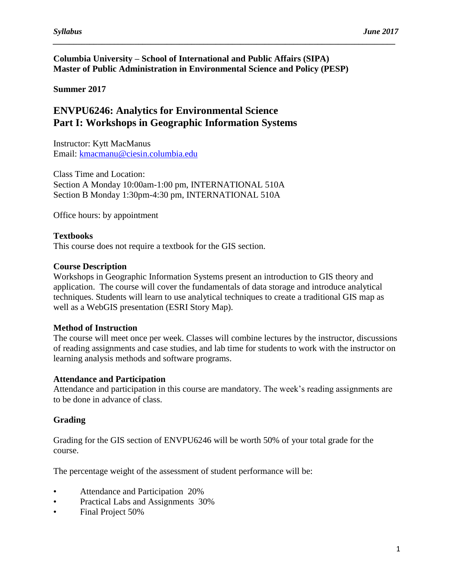## **Columbia University – School of International and Public Affairs (SIPA) Master of Public Administration in Environmental Science and Policy (PESP)**

*\_\_\_\_\_\_\_\_\_\_\_\_\_\_\_\_\_\_\_\_\_\_\_\_\_\_\_\_\_\_\_\_\_\_\_\_\_\_\_\_\_\_\_\_\_\_\_\_\_\_\_\_\_\_\_\_\_\_\_\_\_\_\_\_\_\_\_\_\_\_\_\_\_\_\_\_\_\_\_\_\_\_\_\_*

## **Summer 2017**

## **ENVPU6246: Analytics for Environmental Science Part I: Workshops in Geographic Information Systems**

Instructor: Kytt MacManus Email: [kmacmanu@ciesin.columbia.edu](mailto:kmacmanu@ciesin.columbia.edu)

Class Time and Location: Section A Monday 10:00am-1:00 pm, INTERNATIONAL 510A Section B Monday 1:30pm-4:30 pm, INTERNATIONAL 510A

Office hours: by appointment

### **Textbooks**

This course does not require a textbook for the GIS section.

#### **Course Description**

Workshops in Geographic Information Systems present an introduction to GIS theory and application. The course will cover the fundamentals of data storage and introduce analytical techniques. Students will learn to use analytical techniques to create a traditional GIS map as well as a WebGIS presentation (ESRI Story Map).

#### **Method of Instruction**

The course will meet once per week. Classes will combine lectures by the instructor, discussions of reading assignments and case studies, and lab time for students to work with the instructor on learning analysis methods and software programs.

#### **Attendance and Participation**

Attendance and participation in this course are mandatory. The week's reading assignments are to be done in advance of class.

## **Grading**

Grading for the GIS section of ENVPU6246 will be worth 50% of your total grade for the course.

The percentage weight of the assessment of student performance will be:

- Attendance and Participation 20%
- Practical Labs and Assignments 30%
- Final Project 50%